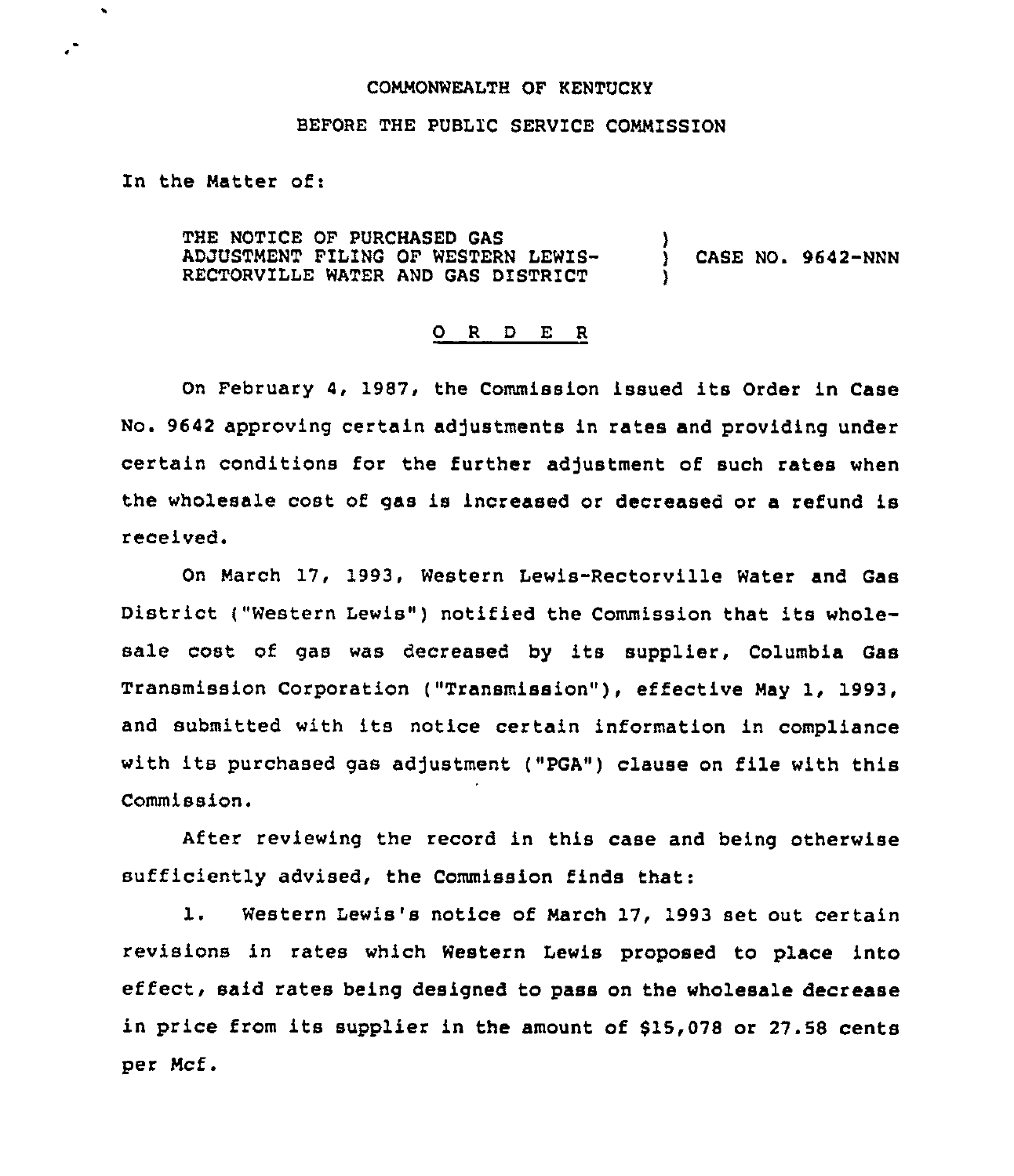### COMMONWEALTH OF KENTUCKY

### BEFORE THE PUBL1C SERVICE COMMISSION

In the Natter of:

 $\bullet$ 

THE NOTICE OF PURCHASED GAS ADJUSTMENT FILING OF WESTERN LEWIS-RECTORVILLE WATER AND GAS DISTRICT ) CASE NO. 9642-NNN

#### 0 <sup>R</sup> <sup>D</sup> E <sup>R</sup>

On February 4, 1987, the Commission issued its Order in Case No. 9642 approving certain adjustments in rates and providing under certain conditions for the further adjustment of such rates when the wholesale cost of gas is increased or decreased or a refund is received.

On March 17, 1993, Western Lewis-Rectorville Water and Gas District ("Western Lewis") notified the Commission that its wholesale cost of gas was decreased by its supplier, Columbia Gas Transmission Corporation ("Transmission" ), effective May 1, 1993, and submitted with its notice certain information in compliance with its purchased gas adjustment ("PGA") clause on file with this Commission.

After reviewing the record in this case and being otherwise sufficiently advised, the Commission finds that:

1. Western Lewis's notice of Narch 17, 1993 set out certain revisions in rates which Western Lewis proposed to place into effect, said rates being designed to pass on the wholesale decrease in price from its supplier in the amount of \$15,078 or 27.58 cents per Ncf.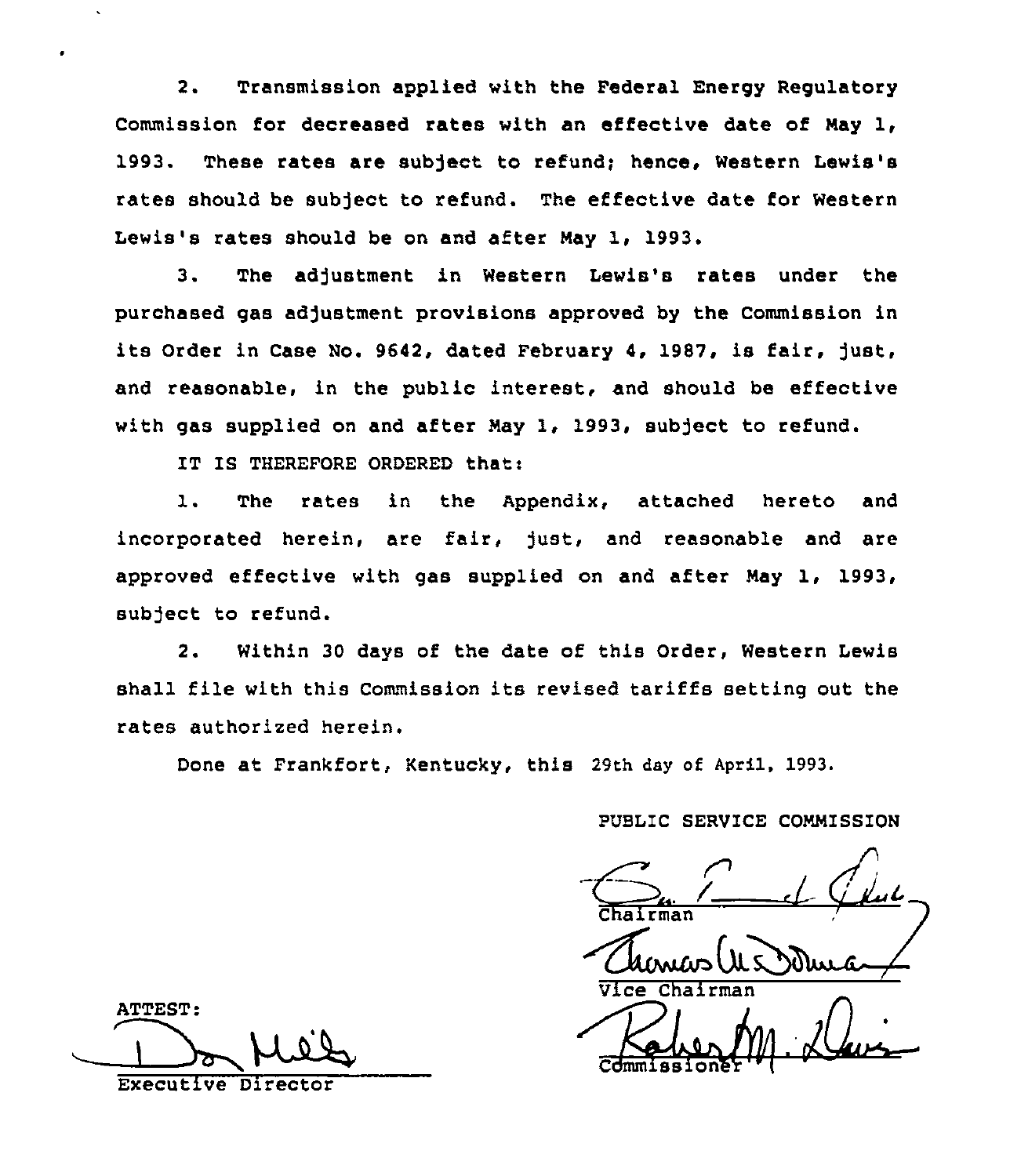2. Transmission applied with the Federal Energy Regulatory Commission for decreased rates with an effective date of May 1, 1993. These rates are subject to refund; hence, Western Lewis's rates should be subject to refund. The effective date for Western Lewis's rates should be on and after May 1, 1993.

3. The adjustment in Western Lewis's rates under the purchased gas adjustment provisions approved by the Commission in its Order in Case No. 9642, dated February 4, 1987, is fair, just, and reasonable, in the public interest, and should be effective with gas supplied on and after May 1, 1993, subject to refund.

IT IS THEREFORE ORDERED that:

1. The rates in the Appendix, attached hereto and incorporated herein, are fair, just, and reasonable and are approved effective with gas supplied on and after May 1, 1993, subject to refund.

2. Within 30 days of the date of this Order, Western Lewis shall file with this Commission its revised tariffs setting out the rates authorized herein.

Done at Frankfort, Kentucky, this 29th dey of April, 1993.

PUBLIC SERVICE COMMISSION

Chairman Vice Chairman '

Commission

ATTEST: Executive Director